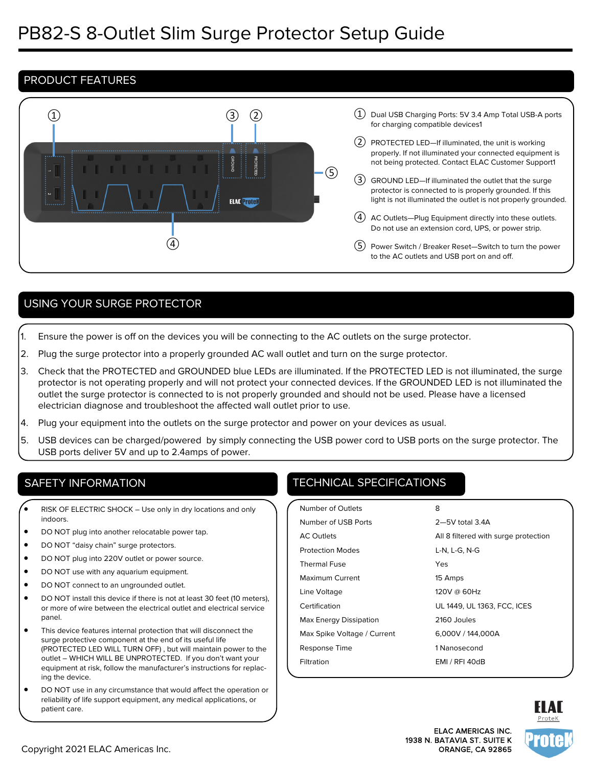# PRODUCT FEATURES



# USING YOUR SURGE PROTECTOR

- 1. Ensure the power is off on the devices you will be connecting to the AC outlets on the surge protector.
- 2. Plug the surge protector into a properly grounded AC wall outlet and turn on the surge protector.
- 3. Check that the PROTECTED and GROUNDED blue LEDs are illuminated. If the PROTECTED LED is not illuminated, the surge protector is not operating properly and will not protect your connected devices. If the GROUNDED LED is not illuminated the outlet the surge protector is connected to is not properly grounded and should not be used. Please have a licensed electrician diagnose and troubleshoot the affected wall outlet prior to use.
- 4. Plug your equipment into the outlets on the surge protector and power on your devices as usual.
- 5. USB devices can be charged/powered by simply connecting the USB power cord to USB ports on the surge protector. The USB ports deliver 5V and up to 2.4amps of power.

- RISK OF ELECTRIC SHOCK Use only in dry locations and only indoors.
- DO NOT plug into another relocatable power tap.
- DO NOT "daisy chain" surge protectors.
- DO NOT plug into 220V outlet or power source.
- DO NOT use with any aquarium equipment.
- DO NOT connect to an ungrounded outlet.
- DO NOT install this device if there is not at least 30 feet (10 meters), or more of wire between the electrical outlet and electrical service panel.
- This device features internal protection that will disconnect the surge protective component at the end of its useful life (PROTECTED LED WILL TURN OFF) , but will maintain power to the outlet – WHICH WILL BE UNPROTECTED. If you don't want your equipment at risk, follow the manufacturer's instructions for replacing the device.
- DO NOT use in any circumstance that would affect the operation or reliability of life support equipment, any medical applications, or patient care.

# SAFETY INFORMATION **TECHNICAL SPECIFICATIONS**

| Number of Outlets           | 8                                    |
|-----------------------------|--------------------------------------|
| Number of USB Ports         | $2 - 5V$ total 34A                   |
| <b>AC Outlets</b>           | All 8 filtered with surge protection |
| <b>Protection Modes</b>     | L-N, L-G, N-G                        |
| <b>Thermal Fuse</b>         | Yes                                  |
| Maximum Current             | 15 Amps                              |
| Line Voltage                | 120V @ 60Hz                          |
| Certification               | UL 1449, UL 1363, FCC, ICES          |
| Max Energy Dissipation      | 2160 Joules                          |
| Max Spike Voltage / Current | 6.000V / 144.000A                    |
| Response Time               | 1 Nanosecond                         |
| Filtration                  | EMI / RFI 40dB                       |
|                             |                                      |